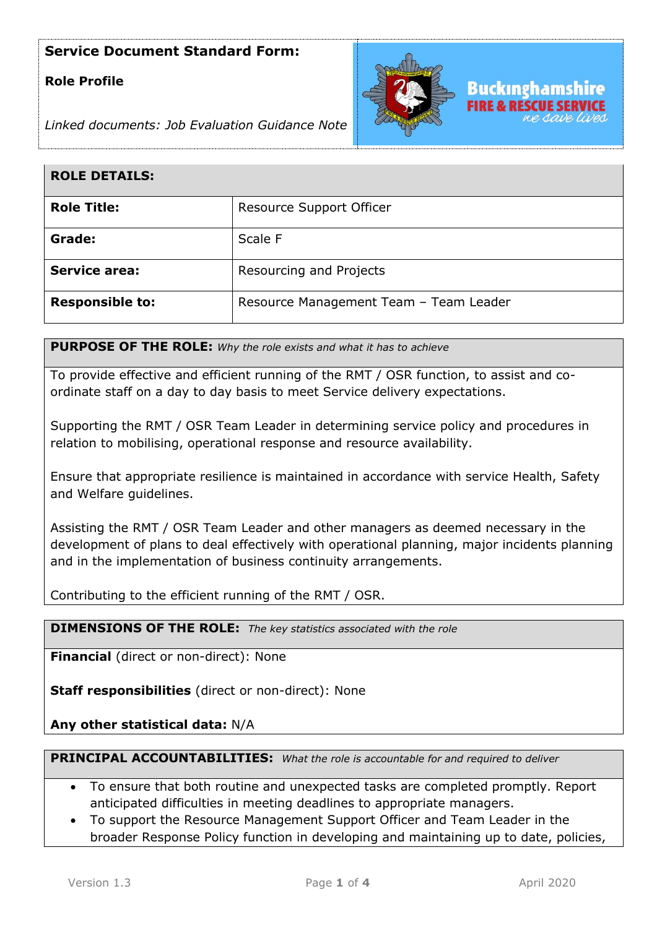# **Role Profile**



*Linked documents: Job Evaluation Guidance Note*

| <b>ROLE DETAILS:</b>   |                                        |
|------------------------|----------------------------------------|
| <b>Role Title:</b>     | Resource Support Officer               |
| Grade:                 | Scale F                                |
| <b>Service area:</b>   | Resourcing and Projects                |
| <b>Responsible to:</b> | Resource Management Team - Team Leader |

**PURPOSE OF THE ROLE:** *Why the role exists and what it has to achieve* 

To provide effective and efficient running of the RMT / OSR function, to assist and coordinate staff on a day to day basis to meet Service delivery expectations.

Supporting the RMT / OSR Team Leader in determining service policy and procedures in relation to mobilising, operational response and resource availability.

Ensure that appropriate resilience is maintained in accordance with service Health, Safety and Welfare guidelines.

Assisting the RMT / OSR Team Leader and other managers as deemed necessary in the development of plans to deal effectively with operational planning, major incidents planning and in the implementation of business continuity arrangements.

Contributing to the efficient running of the RMT / OSR.

**DIMENSIONS OF THE ROLE:** *The key statistics associated with the role*

**Financial** (direct or non-direct): None

**Staff responsibilities** (direct or non-direct): None

**Any other statistical data:** N/A

**PRINCIPAL ACCOUNTABILITIES:** *What the role is accountable for and required to deliver*

- To ensure that both routine and unexpected tasks are completed promptly. Report anticipated difficulties in meeting deadlines to appropriate managers.
- To support the Resource Management Support Officer and Team Leader in the broader Response Policy function in developing and maintaining up to date, policies,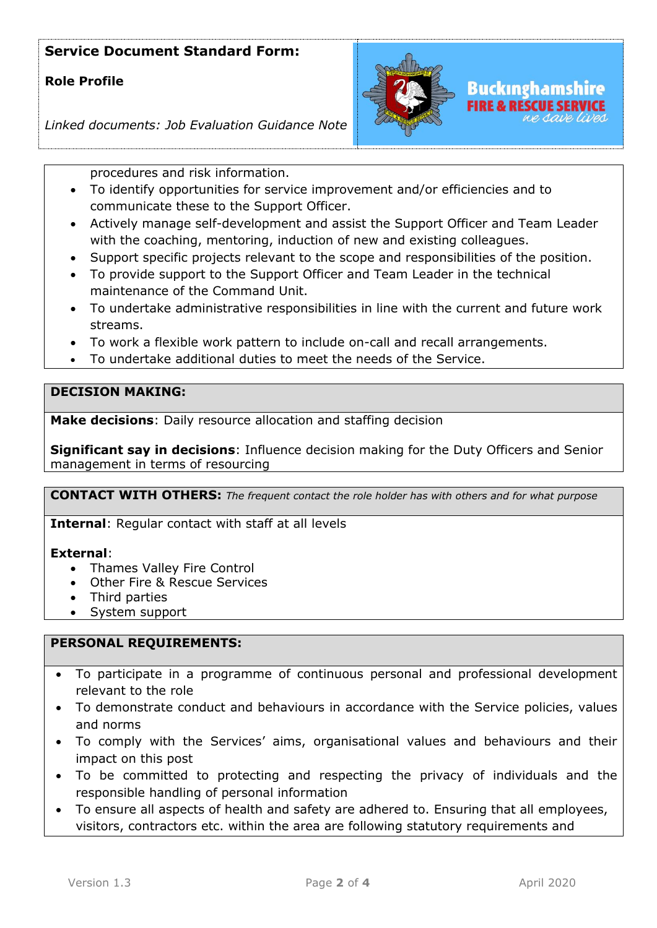# **Role Profile**



*Linked documents: Job Evaluation Guidance Note*

procedures and risk information.

- To identify opportunities for service improvement and/or efficiencies and to communicate these to the Support Officer.
- Actively manage self-development and assist the Support Officer and Team Leader with the coaching, mentoring, induction of new and existing colleagues.
- Support specific projects relevant to the scope and responsibilities of the position.
- To provide support to the Support Officer and Team Leader in the technical maintenance of the Command Unit.
- To undertake administrative responsibilities in line with the current and future work streams.
- To work a flexible work pattern to include on-call and recall arrangements.
- To undertake additional duties to meet the needs of the Service.

## **DECISION MAKING:**

**Make decisions**: Daily resource allocation and staffing decision

**Significant say in decisions**: Influence decision making for the Duty Officers and Senior management in terms of resourcing

**CONTACT WITH OTHERS:** *The frequent contact the role holder has with others and for what purpose* 

**Internal**: Regular contact with staff at all levels

#### **External**:

- Thames Valley Fire Control
- Other Fire & Rescue Services
- Third parties
- System support

#### **PERSONAL REQUIREMENTS:**

- To participate in a programme of continuous personal and professional development relevant to the role
- To demonstrate conduct and behaviours in accordance with the Service policies, values and norms
- To comply with the Services' aims, organisational values and behaviours and their impact on this post
- To be committed to protecting and respecting the privacy of individuals and the responsible handling of personal information
- To ensure all aspects of health and safety are adhered to. Ensuring that all employees, visitors, contractors etc. within the area are following statutory requirements and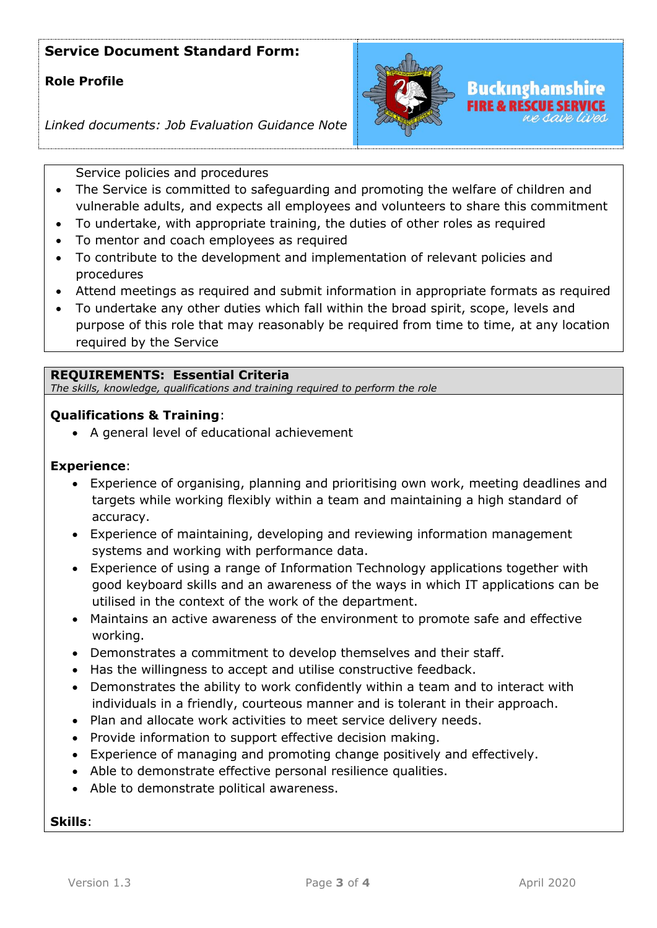## **Role Profile**



## *Linked documents: Job Evaluation Guidance Note*

Service policies and procedures

- The Service is committed to safeguarding and promoting the welfare of children and vulnerable adults, and expects all employees and volunteers to share this commitment
- To undertake, with appropriate training, the duties of other roles as required
- To mentor and coach employees as required
- To contribute to the development and implementation of relevant policies and procedures
- Attend meetings as required and submit information in appropriate formats as required
- To undertake any other duties which fall within the broad spirit, scope, levels and purpose of this role that may reasonably be required from time to time, at any location required by the Service

### **REQUIREMENTS: Essential Criteria**

*The skills, knowledge, qualifications and training required to perform the role*

### **Qualifications & Training**:

• A general level of educational achievement

#### **Experience**:

- Experience of organising, planning and prioritising own work, meeting deadlines and targets while working flexibly within a team and maintaining a high standard of accuracy.
- Experience of maintaining, developing and reviewing information management systems and working with performance data.
- Experience of using a range of Information Technology applications together with good keyboard skills and an awareness of the ways in which IT applications can be utilised in the context of the work of the department.
- Maintains an active awareness of the environment to promote safe and effective working.
- Demonstrates a commitment to develop themselves and their staff.
- Has the willingness to accept and utilise constructive feedback.
- Demonstrates the ability to work confidently within a team and to interact with individuals in a friendly, courteous manner and is tolerant in their approach.
- Plan and allocate work activities to meet service delivery needs.
- Provide information to support effective decision making.
- Experience of managing and promoting change positively and effectively.
- Able to demonstrate effective personal resilience qualities.
- Able to demonstrate political awareness.

#### **Skills**: